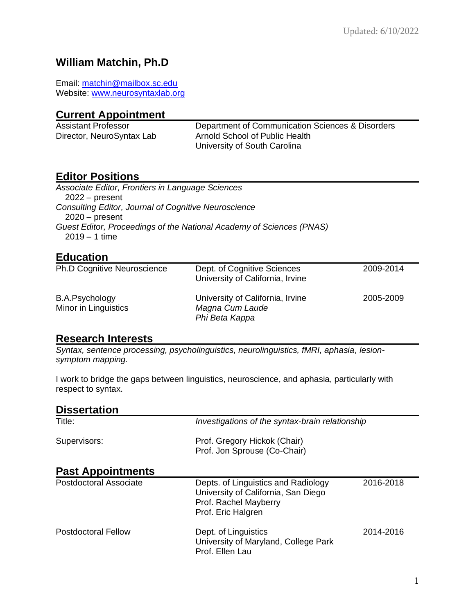# **William Matchin, Ph.D**

Email: [matchin@mailbox.sc.edu](mailto:matchin@mailbox.sc.edu) Website: [www.neurosyntaxlab.org](http://www.neurosyntaxlab.org/)

#### **Current Appointment**

| Assistant Professor       | Department of Communication Sciences & Disorders |
|---------------------------|--------------------------------------------------|
| Director, NeuroSyntax Lab | Arnold School of Public Health                   |
|                           | University of South Carolina                     |

# **Editor Positions**

| Associate Editor, Frontiers in Language Sciences                     |  |
|----------------------------------------------------------------------|--|
| $2022 - present$                                                     |  |
| <b>Consulting Editor, Journal of Cognitive Neuroscience</b>          |  |
| $2020 - present$                                                     |  |
| Guest Editor, Proceedings of the National Academy of Sciences (PNAS) |  |
| $2019 - 1$ time                                                      |  |

# **Education**

| <b>Ph.D Cognitive Neuroscience</b>     | Dept. of Cognitive Sciences<br>University of California, Irvine       | 2009-2014 |
|----------------------------------------|-----------------------------------------------------------------------|-----------|
| B.A.Psychology<br>Minor in Linguistics | University of California, Irvine<br>Magna Cum Laude<br>Phi Beta Kappa | 2005-2009 |

#### **Research Interests**

*Syntax, sentence processing, psycholinguistics, neurolinguistics, fMRI, aphasia, lesionsymptom mapping.*

I work to bridge the gaps between linguistics, neuroscience, and aphasia, particularly with respect to syntax.

| <b>Dissertation</b>      |                                                                                                                           |           |
|--------------------------|---------------------------------------------------------------------------------------------------------------------------|-----------|
| Title:                   | Investigations of the syntax-brain relationship                                                                           |           |
| Supervisors:             | Prof. Gregory Hickok (Chair)<br>Prof. Jon Sprouse (Co-Chair)                                                              |           |
| <b>Past Appointments</b> |                                                                                                                           |           |
| Postdoctoral Associate   | Depts. of Linguistics and Radiology<br>University of California, San Diego<br>Prof. Rachel Mayberry<br>Prof. Eric Halgren | 2016-2018 |
| Postdoctoral Fellow      | Dept. of Linguistics<br>University of Maryland, College Park<br>Prof. Ellen Lau                                           | 2014-2016 |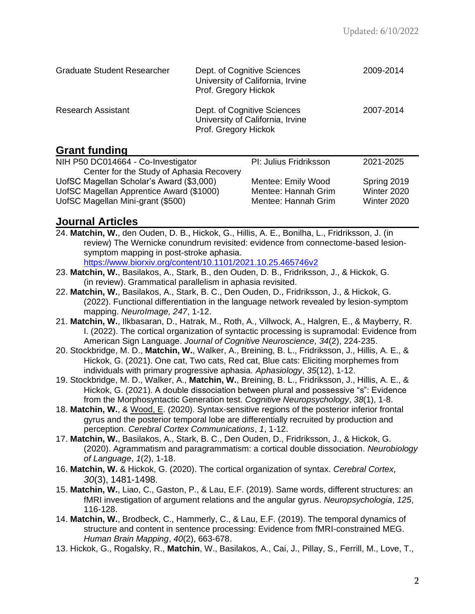| <b>Graduate Student Researcher</b> | Dept. of Cognitive Sciences<br>University of California, Irvine<br>Prof. Gregory Hickok | 2009-2014 |
|------------------------------------|-----------------------------------------------------------------------------------------|-----------|
| <b>Research Assistant</b>          | Dept. of Cognitive Sciences<br>University of California, Irvine<br>Prof. Gregory Hickok | 2007-2014 |

## **Grant funding**

| NIH P50 DC014664 - Co-Investigator       | PI: Julius Fridriksson | 2021-2025   |
|------------------------------------------|------------------------|-------------|
| Center for the Study of Aphasia Recovery |                        |             |
| UofSC Magellan Scholar's Award (\$3,000) | Mentee: Emily Wood     | Spring 2019 |
| UofSC Magellan Apprentice Award (\$1000) | Mentee: Hannah Grim    | Winter 2020 |
| UofSC Magellan Mini-grant (\$500)        | Mentee: Hannah Grim    | Winter 2020 |
|                                          |                        |             |

## **Journal Articles**

24. **Matchin, W.**, den Ouden, D. B., Hickok, G., Hillis, A. E., Bonilha, L., Fridriksson, J. (in review) The Wernicke conundrum revisited: evidence from connectome-based lesionsymptom mapping in post-stroke aphasia.

[https://www.biorxiv.org/content/10.1101/2021.10.25.465746v2](https://www.biorxiv.org/content/10.1101/2021.10.25.465746v1)

- 23. **Matchin, W.**, Basilakos, A., Stark, B., den Ouden, D. B., Fridriksson, J., & Hickok, G. (in review). Grammatical parallelism in aphasia revisited.
- 22. **Matchin, W.**, Basilakos, A., Stark, B. C., Den Ouden, D., Fridriksson, J., & Hickok, G. (2022). Functional differentiation in the language network revealed by lesion-symptom mapping. *NeuroImage, 247*, 1-12.
- 21. **Matchin, W.**, Ilkbasaran, D., Hatrak, M., Roth, A., Villwock, A., Halgren, E., & Mayberry, R. I. (2022). The cortical organization of syntactic processing is supramodal: Evidence from American Sign Language. *Journal of Cognitive Neuroscience, 34*(2), 224-235.
- 20. Stockbridge, M. D., **Matchin, W.**, Walker, A., Breining, B. L., Fridriksson, J., Hillis, A. E., & Hickok, G. (2021). One cat, Two cats, Red cat, Blue cats: Eliciting morphemes from individuals with primary progressive aphasia. *Aphasiology*, *35*(12), 1-12.
- 19. Stockbridge, M. D., Walker, A., **Matchin, W.**, Breining, B. L., Fridriksson, J., Hillis, A. E., & Hickok, G. (2021). A double dissociation between plural and possessive "s": Evidence from the Morphosyntactic Generation test. *Cognitive Neuropsychology*, *38*(1), 1-8.
- 18. **Matchin, W.**, & Wood, E. (2020). Syntax-sensitive regions of the posterior inferior frontal gyrus and the posterior temporal lobe are differentially recruited by production and perception. *Cerebral Cortex Communications*, *1*, 1-12.
- 17. **Matchin, W.**, Basilakos, A., Stark, B. C., Den Ouden, D., Fridriksson, J., & Hickok, G. (2020). Agrammatism and paragrammatism: a cortical double dissociation. *Neurobiology of Language*, *1*(2), 1-18.
- 16. **Matchin, W.** & Hickok, G. (2020). The cortical organization of syntax. *Cerebral Cortex, 30*(3), 1481-1498.
- 15. **Matchin, W.**, Liao, C., Gaston, P., & Lau, E.F. (2019). Same words, different structures: an fMRI investigation of argument relations and the angular gyrus. *Neuropsychologia*, *125*, 116-128.
- 14. **Matchin, W.**, Brodbeck, C., Hammerly, C., & Lau, E.F. (2019). The temporal dynamics of structure and content in sentence processing: Evidence from fMRI-constrained MEG. *Human Brain Mapping*, *40*(2), 663-678.
- 13. Hickok, G., Rogalsky, R., **Matchin**, W., Basilakos, A., Cai, J., Pillay, S., Ferrill, M., Love, T.,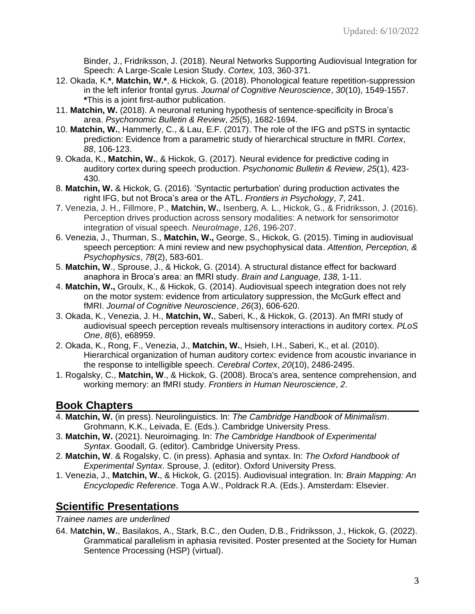Binder, J., Fridriksson, J. (2018). Neural Networks Supporting Audiovisual Integration for Speech: A Large-Scale Lesion Study. *Cortex,* 103, 360-371.

- 12. Okada, K.**\***, **Matchin, W.\***, & Hickok, G. (2018). Phonological feature repetition-suppression in the left inferior frontal gyrus. *Journal of Cognitive Neuroscience*, *30*(10), 1549-1557. **\***This is a joint first-author publication.
- 11. **Matchin, W.** (2018). A neuronal retuning hypothesis of sentence-specificity in Broca's area. *Psychonomic Bulletin & Review*, *25*(5), 1682-1694.
- 10. **Matchin, W.**, Hammerly, C., & Lau, E.F. (2017). The role of the IFG and pSTS in syntactic prediction: Evidence from a parametric study of hierarchical structure in fMRI. *Cortex*, *88*, 106-123.
- 9. Okada, K., **Matchin, W.**, & Hickok, G. (2017). Neural evidence for predictive coding in auditory cortex during speech production. *Psychonomic Bulletin & Review*, *25*(1), 423- 430.
- 8. **Matchin, W.** & Hickok, G. (2016). 'Syntactic perturbation' during production activates the right IFG, but not Broca's area or the ATL. *Frontiers in Psychology*, *7*, 241.
- 7. Venezia, J. H., Fillmore, P., **Matchin, W.**, Isenberg, A. L., Hickok, G., & Fridriksson, J. (2016). Perception drives production across sensory modalities: A network for sensorimotor integration of visual speech. *NeuroImage*, *126*, 196-207.
- 6. Venezia, J., Thurman, S., **Matchin, W.,** George, S., Hickok, G. (2015). Timing in audiovisual speech perception: A mini review and new psychophysical data. *Attention, Perception, & Psychophysics*, *78*(2), 583-601.
- 5. **Matchin, W**., Sprouse, J., & Hickok, G. (2014). A structural distance effect for backward anaphora in Broca's area: an fMRI study. *Brain and Language, 138,* 1-11.
- 4. **Matchin, W.,** Groulx, K., & Hickok, G. (2014). Audiovisual speech integration does not rely on the motor system: evidence from articulatory suppression, the McGurk effect and fMRI. *Journal of Cognitive Neuroscience*, *26*(3), 606-620.
- 3. Okada, K., Venezia, J. H., **Matchin, W.**, Saberi, K., & Hickok, G. (2013). An fMRI study of audiovisual speech perception reveals multisensory interactions in auditory cortex. *PLoS One*, *8*(6), e68959.
- 2. Okada, K., Rong, F., Venezia, J., **Matchin, W.**, Hsieh, I.H., Saberi, K., et al. (2010). Hierarchical organization of human auditory cortex: evidence from acoustic invariance in the response to intelligible speech. *Cerebral Cortex*, *20*(10), 2486-2495.
- 1. Rogalsky, C., **Matchin, W**., & Hickok, G. (2008). Broca's area, sentence comprehension, and working memory: an fMRI study. *Frontiers in Human Neuroscience*, *2*.

# **Book Chapters**

- 4. **Matchin, W.** (in press). Neurolinguistics. In: *The Cambridge Handbook of Minimalism*. Grohmann, K.K., Leivada, E. (Eds.). Cambridge University Press.
- 3. **Matchin, W.** (2021). Neuroimaging. In: *The Cambridge Handbook of Experimental Syntax*. Goodall, G. (editor). Cambridge University Press.
- 2. **Matchin, W**. & Rogalsky, C. (in press). Aphasia and syntax. In: *The Oxford Handbook of Experimental Syntax*. Sprouse, J. (editor). Oxford University Press.
- 1. Venezia, J., **Matchin, W.**, & Hickok, G. (2015). Audiovisual integration. In: *Brain Mapping: An Encyclopedic Reference*. Toga A.W., Poldrack R.A. (Eds.). Amsterdam: Elsevier.

# **Scientific Presentations**

*Trainee names are underlined*

64. M**atchin, W.**, Basilakos, A., Stark, B.C., den Ouden, D.B., Fridriksson, J., Hickok, G. (2022). Grammatical parallelism in aphasia revisited. Poster presented at the Society for Human Sentence Processing (HSP) (virtual).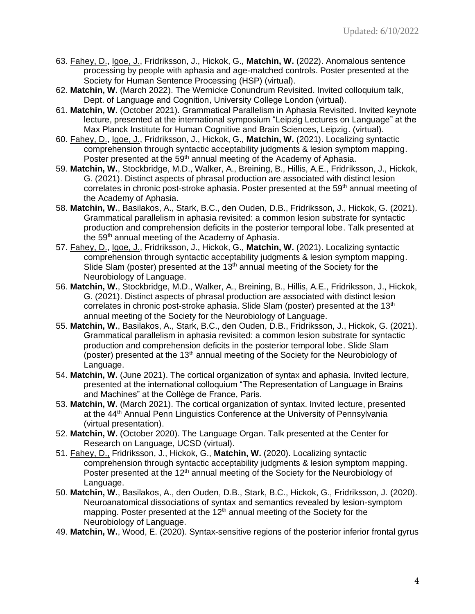- 63. Fahey, D., Igoe, J., Fridriksson, J., Hickok, G., **Matchin, W.** (2022). Anomalous sentence processing by people with aphasia and age-matched controls. Poster presented at the Society for Human Sentence Processing (HSP) (virtual).
- 62. **Matchin, W.** (March 2022). The Wernicke Conundrum Revisited. Invited colloquium talk, Dept. of Language and Cognition, University College London (virtual).
- 61. **Matchin, W.** (October 2021). Grammatical Parallelism in Aphasia Revisited. Invited keynote lecture, presented at the international symposium "Leipzig Lectures on Language" at the Max Planck Institute for Human Cognitive and Brain Sciences, Leipzig. (virtual).
- 60. Fahey, D., Igoe, J., Fridriksson, J., Hickok, G., **Matchin, W.** (2021). Localizing syntactic comprehension through syntactic acceptability judgments & lesion symptom mapping. Poster presented at the 59<sup>th</sup> annual meeting of the Academy of Aphasia.
- 59. **Matchin, W.**, Stockbridge, M.D., Walker, A., Breining, B., Hillis, A.E., Fridriksson, J., Hickok, G. (2021). Distinct aspects of phrasal production are associated with distinct lesion correlates in chronic post-stroke aphasia. Poster presented at the 59<sup>th</sup> annual meeting of the Academy of Aphasia.
- 58. **Matchin, W.**, Basilakos, A., Stark, B.C., den Ouden, D.B., Fridriksson, J., Hickok, G. (2021). Grammatical parallelism in aphasia revisited: a common lesion substrate for syntactic production and comprehension deficits in the posterior temporal lobe. Talk presented at the 59<sup>th</sup> annual meeting of the Academy of Aphasia.
- 57. Fahey, D., Igoe, J., Fridriksson, J., Hickok, G., **Matchin, W.** (2021). Localizing syntactic comprehension through syntactic acceptability judgments & lesion symptom mapping. Slide Slam (poster) presented at the  $13<sup>th</sup>$  annual meeting of the Society for the Neurobiology of Language.
- 56. **Matchin, W.**, Stockbridge, M.D., Walker, A., Breining, B., Hillis, A.E., Fridriksson, J., Hickok, G. (2021). Distinct aspects of phrasal production are associated with distinct lesion correlates in chronic post-stroke aphasia. Slide Slam (poster) presented at the 13<sup>th</sup> annual meeting of the Society for the Neurobiology of Language.
- 55. **Matchin, W.**, Basilakos, A., Stark, B.C., den Ouden, D.B., Fridriksson, J., Hickok, G. (2021). Grammatical parallelism in aphasia revisited: a common lesion substrate for syntactic production and comprehension deficits in the posterior temporal lobe. Slide Slam (poster) presented at the 13<sup>th</sup> annual meeting of the Society for the Neurobiology of Language.
- 54. **Matchin, W.** (June 2021). The cortical organization of syntax and aphasia. Invited lecture, presented at the international colloquium "The Representation of Language in Brains and Machines" at the Collège de France, Paris.
- 53. **Matchin, W.** (March 2021). The cortical organization of syntax. Invited lecture, presented at the 44<sup>th</sup> Annual Penn Linguistics Conference at the University of Pennsylvania (virtual presentation).
- 52. **Matchin, W.** (October 2020). The Language Organ. Talk presented at the Center for Research on Language, UCSD (virtual).
- 51. Fahey, D., Fridriksson, J., Hickok, G., **Matchin, W.** (2020). Localizing syntactic comprehension through syntactic acceptability judgments & lesion symptom mapping. Poster presented at the 12<sup>th</sup> annual meeting of the Society for the Neurobiology of Language.
- 50. **Matchin, W.**, Basilakos, A., den Ouden, D.B., Stark, B.C., Hickok, G., Fridriksson, J. (2020). Neuroanatomical dissociations of syntax and semantics revealed by lesion-symptom mapping. Poster presented at the  $12<sup>th</sup>$  annual meeting of the Society for the Neurobiology of Language.
- 49. **Matchin, W.**, Wood, E. (2020). Syntax-sensitive regions of the posterior inferior frontal gyrus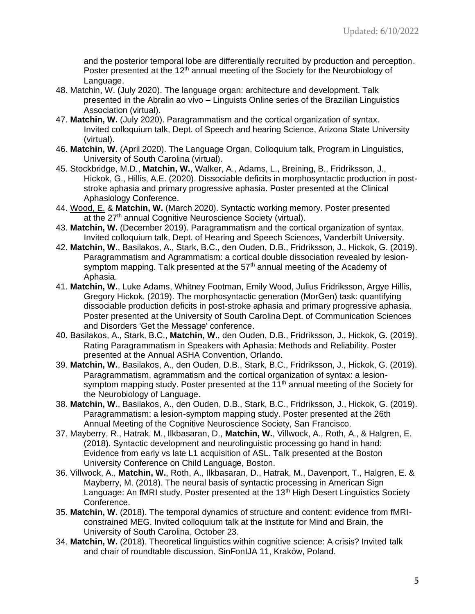and the posterior temporal lobe are differentially recruited by production and perception. Poster presented at the 12<sup>th</sup> annual meeting of the Society for the Neurobiology of Language.

- 48. Matchin, W. (July 2020). The language organ: architecture and development. Talk presented in the Abralin ao vivo – Linguists Online series of the Brazilian Linguistics Association (virtual).
- 47. **Matchin, W.** (July 2020). Paragrammatism and the cortical organization of syntax. Invited colloquium talk, Dept. of Speech and hearing Science, Arizona State University (virtual).
- 46. **Matchin, W.** (April 2020). The Language Organ. Colloquium talk, Program in Linguistics, University of South Carolina (virtual).
- 45. Stockbridge, M.D., **Matchin, W.**, Walker, A., Adams, L., Breining, B., Fridriksson, J., Hickok, G., Hillis, A.E. (2020). Dissociable deficits in morphosyntactic production in poststroke aphasia and primary progressive aphasia. Poster presented at the Clinical Aphasiology Conference.
- 44. Wood, E. & **Matchin, W.** (March 2020). Syntactic working memory. Poster presented at the 27<sup>th</sup> annual Cognitive Neuroscience Society (virtual).
- 43. **Matchin, W.** (December 2019). Paragrammatism and the cortical organization of syntax. Invited colloquium talk, Dept. of Hearing and Speech Sciences, Vanderbilt University.
- 42. **Matchin, W.**, Basilakos, A., Stark, B.C., den Ouden, D.B., Fridriksson, J., Hickok, G. (2019). Paragrammatism and Agrammatism: a cortical double dissociation revealed by lesionsymptom mapping. Talk presented at the  $57<sup>th</sup>$  annual meeting of the Academy of Aphasia.
- 41. **Matchin, W.**, Luke Adams, Whitney Footman, Emily Wood, Julius Fridriksson, Argye Hillis, Gregory Hickok. (2019). The morphosyntactic generation (MorGen) task: quantifying dissociable production deficits in post-stroke aphasia and primary progressive aphasia. Poster presented at the University of South Carolina Dept. of Communication Sciences and Disorders 'Get the Message' conference.
- 40. Basilakos, A., Stark, B.C., **Matchin, W.**, den Ouden, D.B., Fridriksson, J., Hickok, G. (2019). Rating Paragrammatism in Speakers with Aphasia: Methods and Reliability. Poster presented at the Annual ASHA Convention, Orlando.
- 39. **Matchin, W.**, Basilakos, A., den Ouden, D.B., Stark, B.C., Fridriksson, J., Hickok, G. (2019). Paragrammatism, agrammatism and the cortical organization of syntax: a lesionsymptom mapping study. Poster presented at the 11<sup>th</sup> annual meeting of the Society for the Neurobiology of Language.
- 38. **Matchin, W.**, Basilakos, A., den Ouden, D.B., Stark, B.C., Fridriksson, J., Hickok, G. (2019). Paragrammatism: a lesion-symptom mapping study. Poster presented at the 26th Annual Meeting of the Cognitive Neuroscience Society, San Francisco.
- 37. Mayberry, R., Hatrak, M., Ilkbasaran, D., **Matchin, W.**, Villwock, A., Roth, A., & Halgren, E. (2018). Syntactic development and neurolinguistic processing go hand in hand: Evidence from early vs late L1 acquisition of ASL. Talk presented at the Boston University Conference on Child Language, Boston.
- 36. Villwock, A., **Matchin, W.**, Roth, A., Ilkbasaran, D., Hatrak, M., Davenport, T., Halgren, E. & Mayberry, M. (2018). The neural basis of syntactic processing in American Sign Language: An fMRI study. Poster presented at the 13<sup>th</sup> High Desert Linguistics Society Conference.
- 35. **Matchin, W.** (2018). The temporal dynamics of structure and content: evidence from fMRIconstrained MEG. Invited colloquium talk at the Institute for Mind and Brain, the University of South Carolina, October 23.
- 34. **Matchin, W.** (2018). Theoretical linguistics within cognitive science: A crisis? Invited talk and chair of roundtable discussion. SinFonIJA 11, Kraków, Poland.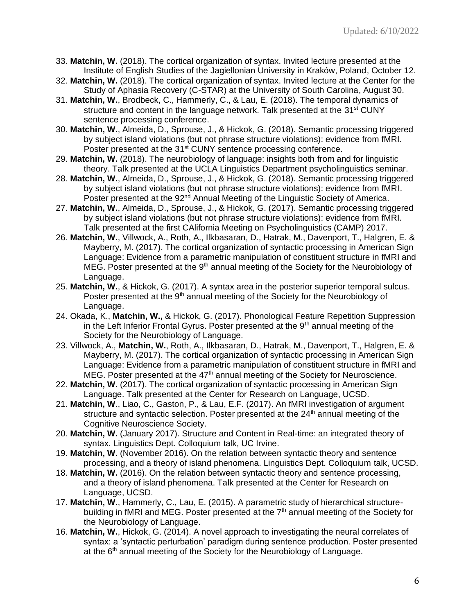- 33. **Matchin, W.** (2018). The cortical organization of syntax. Invited lecture presented at the Institute of English Studies of the Jagiellonian University in Kraków, Poland, October 12.
- 32. **Matchin, W.** (2018). The cortical organization of syntax. Invited lecture at the Center for the Study of Aphasia Recovery (C-STAR) at the University of South Carolina, August 30.
- 31. **Matchin, W.**, Brodbeck, C., Hammerly, C., & Lau, E. (2018). The temporal dynamics of structure and content in the language network. Talk presented at the 31<sup>st</sup> CUNY sentence processing conference.
- 30. **Matchin, W.**, Almeida, D., Sprouse, J., & Hickok, G. (2018). Semantic processing triggered by subject island violations (but not phrase structure violations): evidence from fMRI. Poster presented at the 31<sup>st</sup> CUNY sentence processing conference.
- 29. **Matchin, W.** (2018). The neurobiology of language: insights both from and for linguistic theory. Talk presented at the UCLA Linguistics Department psycholinguistics seminar.
- 28. **Matchin, W.**, Almeida, D., Sprouse, J., & Hickok, G. (2018). Semantic processing triggered by subject island violations (but not phrase structure violations): evidence from fMRI. Poster presented at the 92<sup>nd</sup> Annual Meeting of the Linguistic Society of America.
- 27. **Matchin, W.**, Almeida, D., Sprouse, J., & Hickok, G. (2017). Semantic processing triggered by subject island violations (but not phrase structure violations): evidence from fMRI. Talk presented at the first CAlifornia Meeting on Psycholinguistics (CAMP) 2017.
- 26. **Matchin, W.**, Villwock, A., Roth, A., Ilkbasaran, D., Hatrak, M., Davenport, T., Halgren, E. & Mayberry, M. (2017). The cortical organization of syntactic processing in American Sign Language: Evidence from a parametric manipulation of constituent structure in fMRI and MEG. Poster presented at the  $9<sup>th</sup>$  annual meeting of the Society for the Neurobiology of Language.
- 25. **Matchin, W.**, & Hickok, G. (2017). A syntax area in the posterior superior temporal sulcus. Poster presented at the 9<sup>th</sup> annual meeting of the Society for the Neurobiology of Language.
- 24. Okada, K., **Matchin, W.,** & Hickok, G. (2017). Phonological Feature Repetition Suppression in the Left Inferior Frontal Gyrus. Poster presented at the  $9<sup>th</sup>$  annual meeting of the Society for the Neurobiology of Language.
- 23. Villwock, A., **Matchin, W.**, Roth, A., Ilkbasaran, D., Hatrak, M., Davenport, T., Halgren, E. & Mayberry, M. (2017). The cortical organization of syntactic processing in American Sign Language: Evidence from a parametric manipulation of constituent structure in fMRI and MEG. Poster presented at the  $47<sup>th</sup>$  annual meeting of the Society for Neuroscience.
- 22. **Matchin, W.** (2017). The cortical organization of syntactic processing in American Sign Language. Talk presented at the Center for Research on Language, UCSD.
- 21. **Matchin, W**., Liao, C., Gaston, P., & Lau, E.F. (2017). An fMRI investigation of argument structure and syntactic selection. Poster presented at the  $24<sup>th</sup>$  annual meeting of the Cognitive Neuroscience Society.
- 20. **Matchin, W.** (January 2017). Structure and Content in Real-time: an integrated theory of syntax. Linguistics Dept. Colloquium talk, UC Irvine.
- 19. **Matchin, W.** (November 2016). On the relation between syntactic theory and sentence processing, and a theory of island phenomena. Linguistics Dept. Colloquium talk, UCSD.
- 18. **Matchin, W.** (2016). On the relation between syntactic theory and sentence processing, and a theory of island phenomena. Talk presented at the Center for Research on Language, UCSD.
- 17. **Matchin, W.**, Hammerly, C., Lau, E. (2015). A parametric study of hierarchical structurebuilding in fMRI and MEG. Poster presented at the  $7<sup>th</sup>$  annual meeting of the Society for the Neurobiology of Language.
- 16. **Matchin, W.**, Hickok, G. (2014). A novel approach to investigating the neural correlates of syntax: a 'syntactic perturbation' paradigm during sentence production. Poster presented at the  $6<sup>th</sup>$  annual meeting of the Society for the Neurobiology of Language.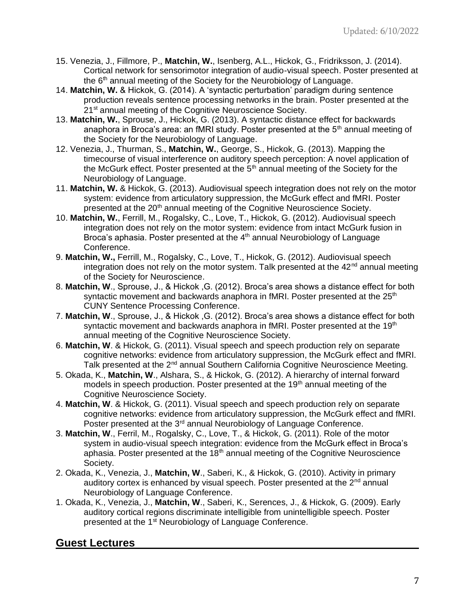- 15. Venezia, J., Fillmore, P., **Matchin, W.**, Isenberg, A.L., Hickok, G., Fridriksson, J. (2014). Cortical network for sensorimotor integration of audio-visual speech. Poster presented at the  $6<sup>th</sup>$  annual meeting of the Society for the Neurobiology of Language.
- 14. **Matchin, W.** & Hickok, G. (2014). A 'syntactic perturbation' paradigm during sentence production reveals sentence processing networks in the brain. Poster presented at the 21<sup>st</sup> annual meeting of the Cognitive Neuroscience Society.
- 13. **Matchin, W.**, Sprouse, J., Hickok, G. (2013). A syntactic distance effect for backwards anaphora in Broca's area: an fMRI study. Poster presented at the  $5<sup>th</sup>$  annual meeting of the Society for the Neurobiology of Language.
- 12. Venezia, J., Thurman, S., **Matchin, W.**, George, S., Hickok, G. (2013). Mapping the timecourse of visual interference on auditory speech perception: A novel application of the McGurk effect. Poster presented at the  $5<sup>th</sup>$  annual meeting of the Society for the Neurobiology of Language.
- 11. **Matchin, W.** & Hickok, G. (2013). Audiovisual speech integration does not rely on the motor system: evidence from articulatory suppression, the McGurk effect and fMRI. Poster presented at the 20<sup>th</sup> annual meeting of the Cognitive Neuroscience Society.
- 10. **Matchin, W.**, Ferrill, M., Rogalsky, C., Love, T., Hickok, G. (2012). Audiovisual speech integration does not rely on the motor system: evidence from intact McGurk fusion in Broca's aphasia. Poster presented at the 4<sup>th</sup> annual Neurobiology of Language Conference.
- 9. **Matchin, W.,** Ferrill, M., Rogalsky, C., Love, T., Hickok, G. (2012). Audiovisual speech integration does not rely on the motor system. Talk presented at the  $42<sup>nd</sup>$  annual meeting of the Society for Neuroscience.
- 8. **Matchin, W**., Sprouse, J., & Hickok ,G. (2012). Broca's area shows a distance effect for both syntactic movement and backwards anaphora in fMRI. Poster presented at the  $25<sup>th</sup>$ CUNY Sentence Processing Conference.
- 7. **Matchin, W**., Sprouse, J., & Hickok ,G. (2012). Broca's area shows a distance effect for both syntactic movement and backwards anaphora in fMRI. Poster presented at the 19 $th$ annual meeting of the Cognitive Neuroscience Society.
- 6. **Matchin, W**. & Hickok, G. (2011). Visual speech and speech production rely on separate cognitive networks: evidence from articulatory suppression, the McGurk effect and fMRI. Talk presented at the 2<sup>nd</sup> annual Southern California Cognitive Neuroscience Meeting.
- 5. Okada, K., **Matchin, W**., Alshara, S., & Hickok, G. (2012). A hierarchy of internal forward models in speech production. Poster presented at the 19<sup>th</sup> annual meeting of the Cognitive Neuroscience Society.
- 4. **Matchin, W**. & Hickok, G. (2011). Visual speech and speech production rely on separate cognitive networks: evidence from articulatory suppression, the McGurk effect and fMRI. Poster presented at the  $3<sup>rd</sup>$  annual Neurobiology of Language Conference.
- 3. **Matchin, W**., Ferril, M., Rogalsky, C., Love, T., & Hickok, G. (2011). Role of the motor system in audio-visual speech integration: evidence from the McGurk effect in Broca's aphasia. Poster presented at the  $18<sup>th</sup>$  annual meeting of the Cognitive Neuroscience Society.
- 2. Okada, K., Venezia, J., **Matchin, W**., Saberi, K., & Hickok, G. (2010). Activity in primary auditory cortex is enhanced by visual speech. Poster presented at the  $2<sup>nd</sup>$  annual Neurobiology of Language Conference.
- 1. Okada, K., Venezia, J., **Matchin, W**., Saberi, K., Serences, J., & Hickok, G. (2009). Early auditory cortical regions discriminate intelligible from unintelligible speech. Poster presented at the 1<sup>st</sup> Neurobiology of Language Conference.

# **Guest Lectures**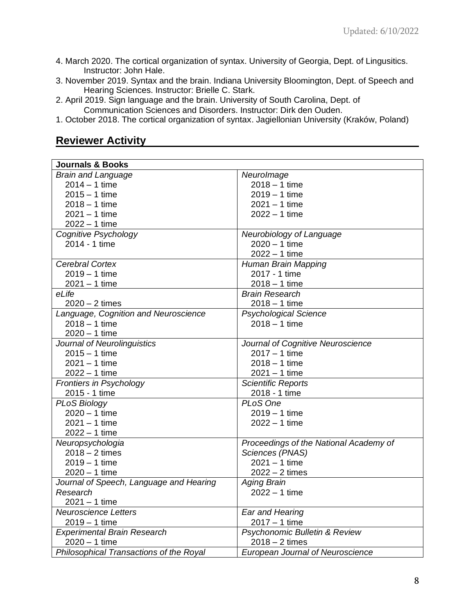- 4. March 2020. The cortical organization of syntax. University of Georgia, Dept. of Lingusitics. Instructor: John Hale.
- 3. November 2019. Syntax and the brain. Indiana University Bloomington, Dept. of Speech and Hearing Sciences. Instructor: Brielle C. Stark.
- 2. April 2019. Sign language and the brain. University of South Carolina, Dept. of Communication Sciences and Disorders. Instructor: Dirk den Ouden.
- 1. October 2018. The cortical organization of syntax. Jagiellonian University (Kraków, Poland)

## **Reviewer Activity**

| <b>Journals &amp; Books</b>             |                                         |
|-----------------------------------------|-----------------------------------------|
| <b>Brain and Language</b>               | NeuroImage                              |
| $2014 - 1$ time                         | $2018 - 1$ time                         |
| $2015 - 1$ time                         | $2019 - 1$ time                         |
| $2018 - 1$ time                         | $2021 - 1$ time                         |
| 2021 – 1 time                           | $2022 - 1$ time                         |
| $2022 - 1$ time                         |                                         |
| Cognitive Psychology                    | Neurobiology of Language                |
| 2014 - 1 time                           | $2020 - 1$ time                         |
|                                         | $2022 - 1$ time                         |
| <b>Cerebral Cortex</b>                  | Human Brain Mapping                     |
| $2019 - 1$ time                         | 2017 - 1 time                           |
| $2021 - 1$ time                         | $2018 - 1$ time                         |
| eLife                                   | <b>Brain Research</b>                   |
| $2020 - 2$ times                        | $2018 - 1$ time                         |
| Language, Cognition and Neuroscience    | <b>Psychological Science</b>            |
| $2018 - 1$ time                         | $2018 - 1$ time                         |
| $2020 - 1$ time                         |                                         |
| Journal of Neurolinguistics             | Journal of Cognitive Neuroscience       |
| $2015 - 1$ time                         | $2017 - 1$ time                         |
| $2021 - 1$ time                         | $2018 - 1$ time                         |
| $2022 - 1$ time                         | $2021 - 1$ time                         |
| <b>Frontiers in Psychology</b>          | <b>Scientific Reports</b>               |
| 2015 - 1 time                           | 2018 - 1 time                           |
| <b>PLoS Biology</b>                     | PLoS One                                |
| $2020 - 1$ time                         | $2019 - 1$ time                         |
| $2021 - 1$ time                         | $2022 - 1$ time                         |
| $2022 - 1$ time                         |                                         |
| Neuropsychologia                        | Proceedings of the National Academy of  |
| $2018 - 2$ times                        | Sciences (PNAS)                         |
| $2019 - 1$ time                         | $2021 - 1$ time                         |
| $2020 - 1$ time                         | $2022 - 2$ times                        |
| Journal of Speech, Language and Hearing | <b>Aging Brain</b>                      |
| Research                                | $2022 - 1$ time                         |
| $2021 - 1$ time                         |                                         |
| <b>Neuroscience Letters</b>             | Ear and Hearing                         |
| $2019 - 1$ time                         | $2017 - 1$ time                         |
| <b>Experimental Brain Research</b>      | Psychonomic Bulletin & Review           |
| $2020 - 1$ time                         | $2018 - 2$ times                        |
| Philosophical Transactions of the Royal | <b>European Journal of Neuroscience</b> |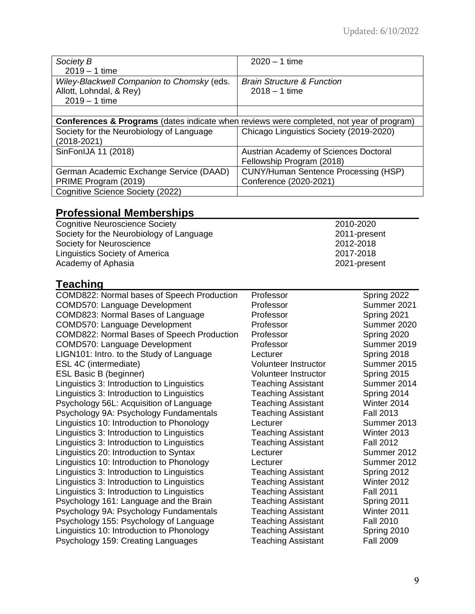| Society B<br>$2019 - 1$ time                                                                        | $2020 - 1$ time                                          |  |
|-----------------------------------------------------------------------------------------------------|----------------------------------------------------------|--|
| Wiley-Blackwell Companion to Chomsky (eds.<br>Allott, Lohndal, & Rey)<br>$2019 - 1$ time            | <b>Brain Structure &amp; Function</b><br>$2018 - 1$ time |  |
|                                                                                                     |                                                          |  |
| <b>Conferences &amp; Programs</b> (dates indicate when reviews were completed, not year of program) |                                                          |  |
| Society for the Neurobiology of Language<br>$(2018 - 2021)$                                         | Chicago Linguistics Society (2019-2020)                  |  |
| SinFonIJA 11 (2018)                                                                                 | Austrian Academy of Sciences Doctoral                    |  |
|                                                                                                     | Fellowship Program (2018)                                |  |
| German Academic Exchange Service (DAAD)                                                             | <b>CUNY/Human Sentence Processing (HSP)</b>              |  |
| PRIME Program (2019)                                                                                | Conference (2020-2021)                                   |  |
| Cognitive Science Society (2022)                                                                    |                                                          |  |

# **Professional Memberships**

| Cognitive Neuroscience Society           | 2010-2020    |
|------------------------------------------|--------------|
| Society for the Neurobiology of Language | 2011-present |
| Society for Neuroscience                 | 2012-2018    |
| Linguistics Society of America           | 2017-2018    |
| Academy of Aphasia                       | 2021-present |

# **Teaching**

| <u>, oaonn g</u>                           |                           |                  |
|--------------------------------------------|---------------------------|------------------|
| COMD822: Normal bases of Speech Production | Professor                 | Spring 2022      |
| COMD570: Language Development              | Professor                 | Summer 2021      |
| COMD823: Normal Bases of Language          | Professor                 | Spring 2021      |
| COMD570: Language Development              | Professor                 | Summer 2020      |
| COMD822: Normal Bases of Speech Production | Professor                 | Spring 2020      |
| COMD570: Language Development              | Professor                 | Summer 2019      |
| LIGN101: Intro. to the Study of Language   | Lecturer                  | Spring 2018      |
| ESL 4C (intermediate)                      | Volunteer Instructor      | Summer 2015      |
| ESL Basic B (beginner)                     | Volunteer Instructor      | Spring 2015      |
| Linguistics 3: Introduction to Linguistics | <b>Teaching Assistant</b> | Summer 2014      |
| Linguistics 3: Introduction to Linguistics | <b>Teaching Assistant</b> | Spring 2014      |
| Psychology 56L: Acquisition of Language    | <b>Teaching Assistant</b> | Winter 2014      |
| Psychology 9A: Psychology Fundamentals     | <b>Teaching Assistant</b> | <b>Fall 2013</b> |
| Linguistics 10: Introduction to Phonology  | Lecturer                  | Summer 2013      |
| Linguistics 3: Introduction to Linguistics | <b>Teaching Assistant</b> | Winter 2013      |
| Linguistics 3: Introduction to Linguistics | Teaching Assistant        | <b>Fall 2012</b> |
| Linguistics 20: Introduction to Syntax     | Lecturer                  | Summer 2012      |
| Linguistics 10: Introduction to Phonology  | Lecturer                  | Summer 2012      |
| Linguistics 3: Introduction to Linguistics | <b>Teaching Assistant</b> | Spring 2012      |
| Linguistics 3: Introduction to Linguistics | Teaching Assistant        | Winter 2012      |
| Linguistics 3: Introduction to Linguistics | Teaching Assistant        | <b>Fall 2011</b> |
| Psychology 161: Language and the Brain     | <b>Teaching Assistant</b> | Spring 2011      |
| Psychology 9A: Psychology Fundamentals     | <b>Teaching Assistant</b> | Winter 2011      |
| Psychology 155: Psychology of Language     | <b>Teaching Assistant</b> | <b>Fall 2010</b> |
| Linguistics 10: Introduction to Phonology  | <b>Teaching Assistant</b> | Spring 2010      |
| Psychology 159: Creating Languages         | <b>Teaching Assistant</b> | <b>Fall 2009</b> |
|                                            |                           |                  |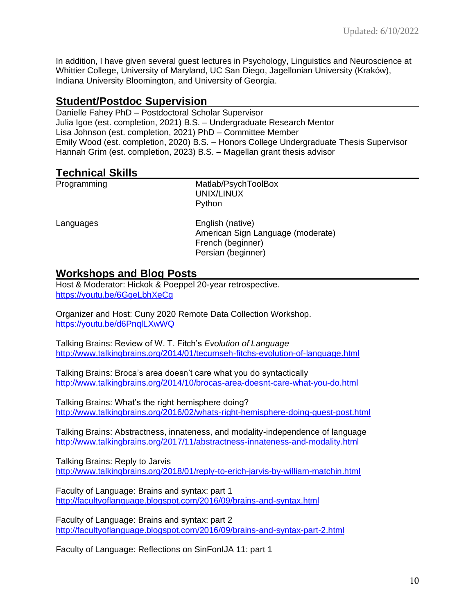In addition, I have given several guest lectures in Psychology, Linguistics and Neuroscience at Whittier College, University of Maryland, UC San Diego, Jagellonian University (Kraków), Indiana University Bloomington, and University of Georgia.

# **Student/Postdoc Supervision**

Danielle Fahey PhD – Postdoctoral Scholar Supervisor Julia Igoe (est. completion, 2021) B.S. – Undergraduate Research Mentor Lisa Johnson (est. completion, 2021) PhD – Committee Member Emily Wood (est. completion, 2020) B.S. – Honors College Undergraduate Thesis Supervisor Hannah Grim (est. completion, 2023) B.S. – Magellan grant thesis advisor

## **Technical Skills**

Programming Matlab/PsychToolBox UNIX/LINUX Python

Languages English (native) American Sign Language (moderate) French (beginner) Persian (beginner)

#### **Workshops and Blog Posts**

Host & Moderator: Hickok & Poeppel 20-year retrospective. <https://youtu.be/6GgeLbhXeCg>

Organizer and Host: Cuny 2020 Remote Data Collection Workshop. <https://youtu.be/d6PnqlLXwWQ>

Talking Brains: Review of W. T. Fitch's *Evolution of Language* <http://www.talkingbrains.org/2014/01/tecumseh-fitchs-evolution-of-language.html>

Talking Brains: Broca's area doesn't care what you do syntactically <http://www.talkingbrains.org/2014/10/brocas-area-doesnt-care-what-you-do.html>

Talking Brains: What's the right hemisphere doing? <http://www.talkingbrains.org/2016/02/whats-right-hemisphere-doing-guest-post.html>

Talking Brains: Abstractness, innateness, and modality-independence of language <http://www.talkingbrains.org/2017/11/abstractness-innateness-and-modality.html>

Talking Brains: Reply to Jarvis <http://www.talkingbrains.org/2018/01/reply-to-erich-jarvis-by-william-matchin.html>

Faculty of Language: Brains and syntax: part 1 <http://facultyoflanguage.blogspot.com/2016/09/brains-and-syntax.html>

Faculty of Language: Brains and syntax: part 2 <http://facultyoflanguage.blogspot.com/2016/09/brains-and-syntax-part-2.html>

Faculty of Language: Reflections on SinFonIJA 11: part 1